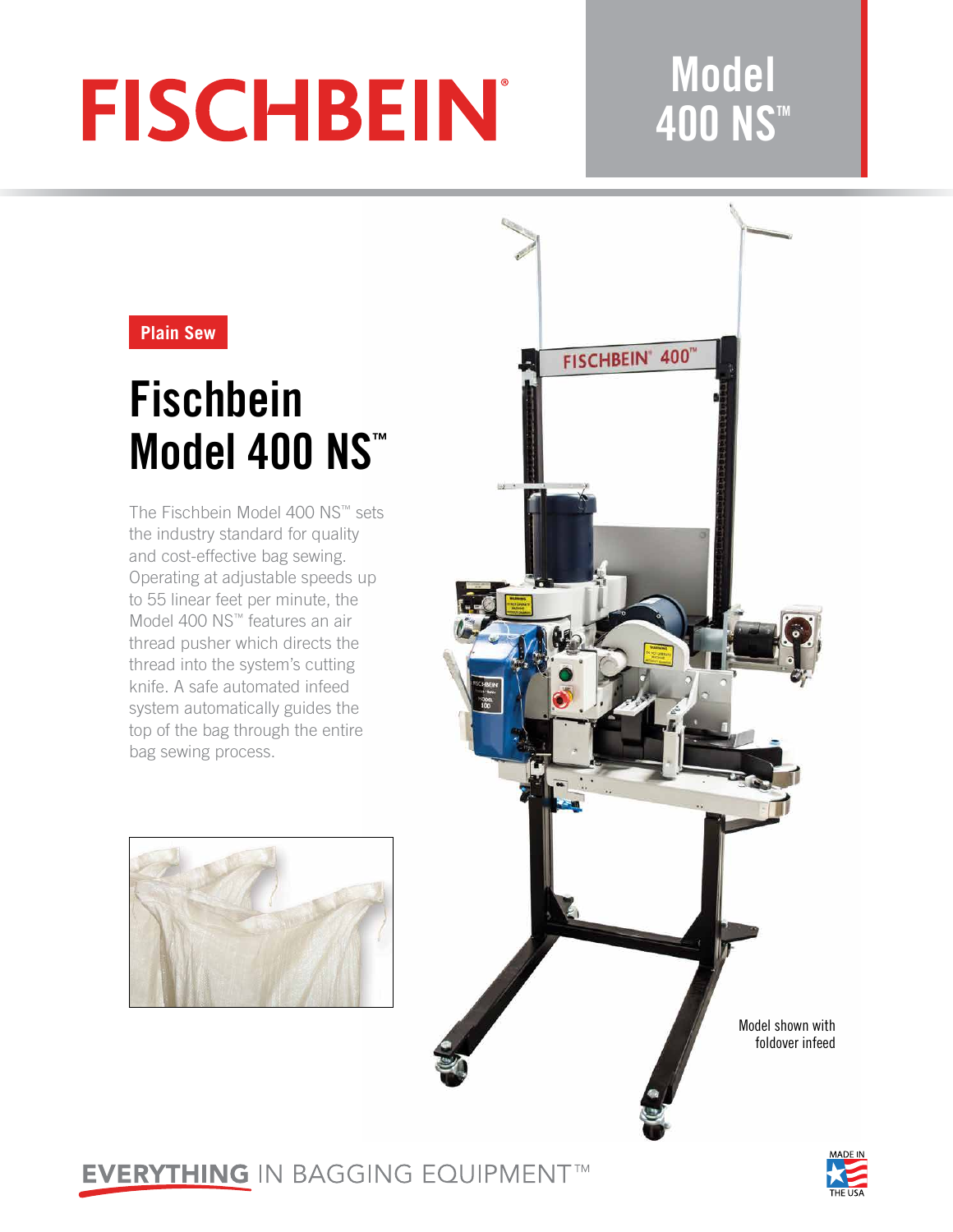# **FISCHBEIN®**

### **Model 400 NS™**

#### **Plain Sew**

## **Fischbein Model 400 NS™**

The Fischbein Model 400 NS™ sets the industry standard for quality and cost-effective bag sewing. Operating at adjustable speeds up to 55 linear feet per minute, the Model 400 NS™ features an air thread pusher which directs the thread into the system's cutting knife. A safe automated infeed system automatically guides the top of the bag through the entire bag sewing process.





### **EVERYTHING IN BAGGING EQUIPMENT™**